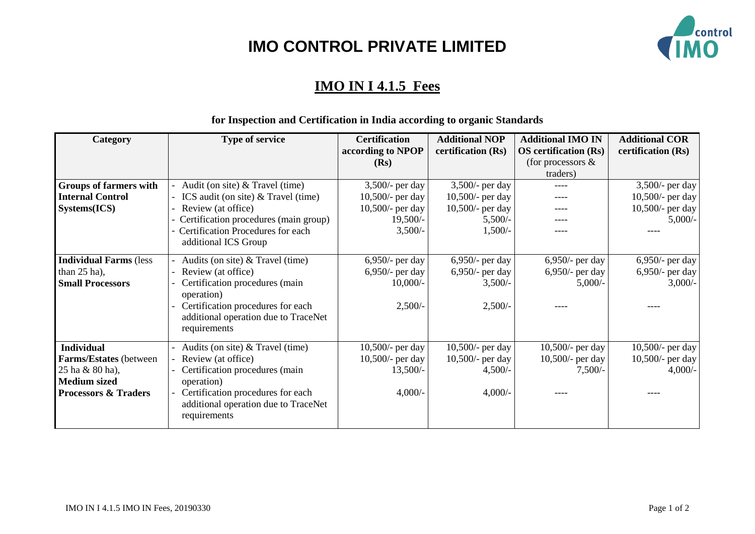# **IMO CONTROL PRIVATE LIMITED**



## **IMO IN I 4.1.5 Fees**

#### **Category Type of service Certification according to NPOP (Rs) Additional NOP certification (Rs) Additional IMO IN OS certification (Rs)** (for processors & traders) **Additional COR certification (Rs) Groups of farmers with Internal Control Systems(ICS)** - Audit (on site) & Travel (time) - ICS audit (on site) & Travel (time) Review (at office) - Certification procedures (main group) Certification Procedures for each additional ICS Group 3,500/- per day 10,500/- per day 10,500/- per day  $19,500/-$ 3,500/- 3,500/- per day 10,500/- per day 10,500/- per day 5,500/- 1,500/- ---- ---- ---- ---- ---- 3,500/- per day 10,500/- per day 10,500/- per day 5,000/- ---- **Individual Farms** (less than 25 ha), **Small Processors** - Audits (on site) & Travel (time) Review (at office) Certification procedures (main operation) Certification procedures for each additional operation due to TraceNet requirements 6,950/- per day 6,950/- per day 10,000/- 2,500/- 6,950/- per day 6,950/- per day 3,500/- 2,500/- 6,950/- per day 6,950/- per day 5,000/- ---- 6,950/- per day 6,950/- per day 3,000/- ---- **Individual Farms/Estates** (between 25 ha & 80 ha), **Medium sized Processors & Traders** - Audits (on site) & Travel (time) Review (at office) Certification procedures (main operation) Certification procedures for each additional operation due to TraceNet requirements 10,500/- per day 10,500/- per day 13,500/- 4,000/- 10,500/- per day 10,500/- per day 4,500/- 4,000/- 10,500/- per day 10,500/- per day 7,500/- ---- 10,500/- per day 10,500/- per day 4,000/- ----

## **for Inspection and Certification in India according to organic Standards**